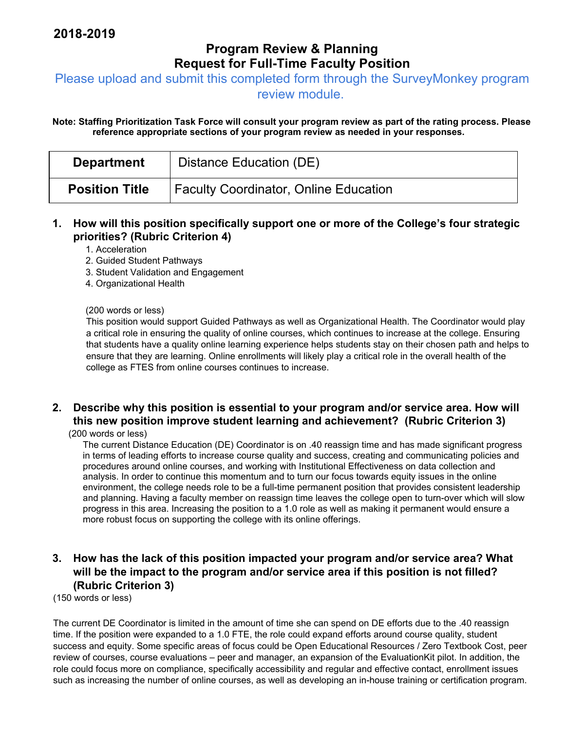## **Program Review & Planning Request for Full-Time Faculty Position**

Please upload and submit this completed form through the SurveyMonkey program

review module.

**Note: Staffing Prioritization Task Force will consult your program review as part of the rating process. Please reference appropriate sections of your program review as needed in your responses.** 

| <b>Department</b>     | Distance Education (DE)                      |
|-----------------------|----------------------------------------------|
| <b>Position Title</b> | <b>Faculty Coordinator, Online Education</b> |

**1. How will this position specifically support one or more of the College's four strategic priorities? (Rubric Criterion 4)** 

1. Acceleration

- 2. Guided Student Pathways
- 3. Student Validation and Engagement
- 4. Organizational Health

#### (200 words or less)

This position would support Guided Pathways as well as Organizational Health. The Coordinator would play a critical role in ensuring the quality of online courses, which continues to increase at the college. Ensuring that students have a quality online learning experience helps students stay on their chosen path and helps to ensure that they are learning. Online enrollments will likely play a critical role in the overall health of the college as FTES from online courses continues to increase.

# **2. Describe why this position is essential to your program and/or service area. How will this new position improve student learning and achievement? (Rubric Criterion 3)**

(200 words or less)

The current Distance Education (DE) Coordinator is on .40 reassign time and has made significant progress in terms of leading efforts to increase course quality and success, creating and communicating policies and procedures around online courses, and working with Institutional Effectiveness on data collection and analysis. In order to continue this momentum and to turn our focus towards equity issues in the online environment, the college needs role to be a full-time permanent position that provides consistent leadership and planning. Having a faculty member on reassign time leaves the college open to turn-over which will slow progress in this area. Increasing the position to a 1.0 role as well as making it permanent would ensure a more robust focus on supporting the college with its online offerings.

#### **3. How has the lack of this position impacted your program and/or service area? What will be the impact to the program and/or service area if this position is not filled? (Rubric Criterion 3)**

(150 words or less)

The current DE Coordinator is limited in the amount of time she can spend on DE efforts due to the .40 reassign time. If the position were expanded to a 1.0 FTE, the role could expand efforts around course quality, student success and equity. Some specific areas of focus could be Open Educational Resources / Zero Textbook Cost, peer review of courses, course evaluations – peer and manager, an expansion of the EvaluationKit pilot. In addition, the role could focus more on compliance, specifically accessibility and regular and effective contact, enrollment issues such as increasing the number of online courses, as well as developing an in-house training or certification program.